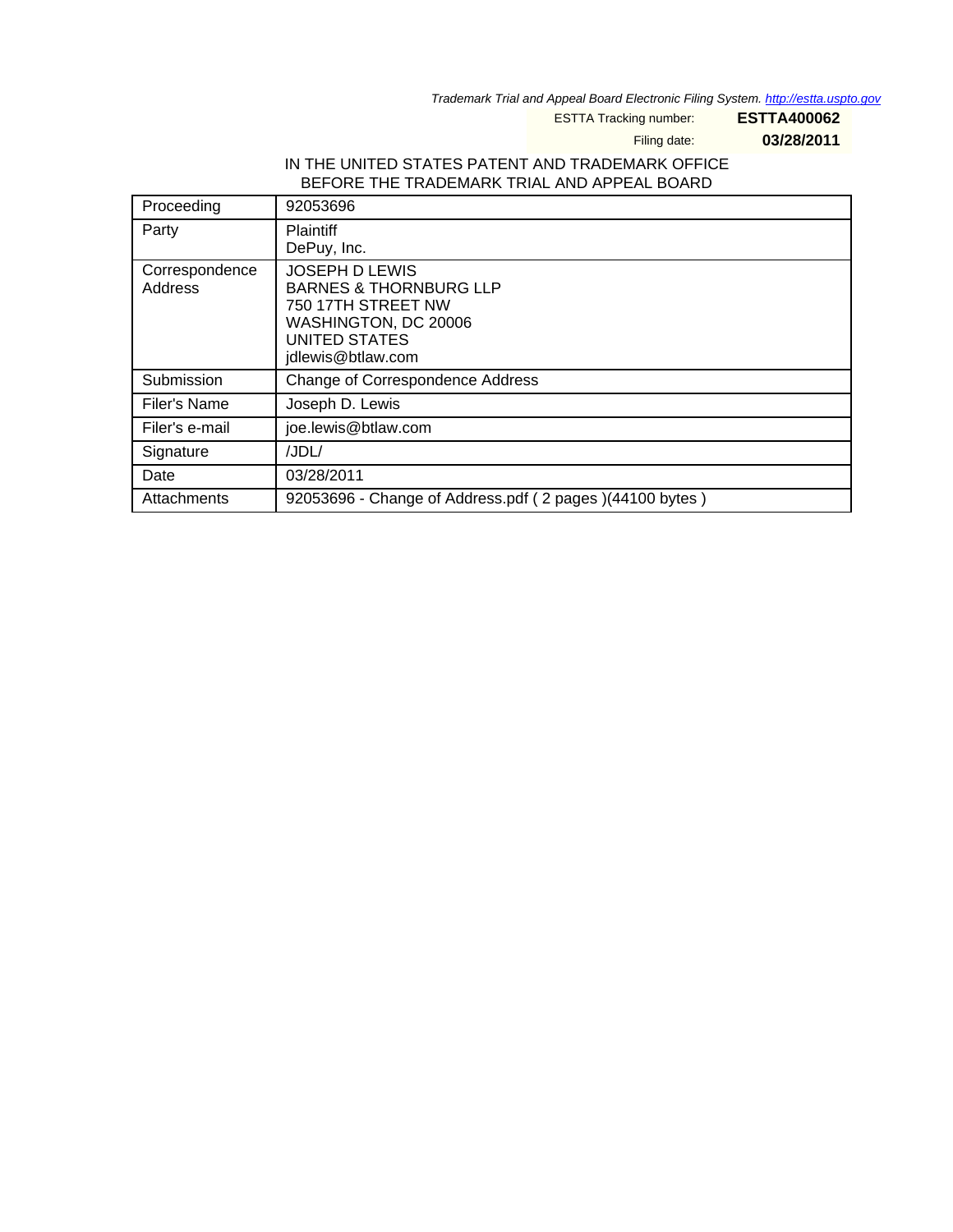Trademark Trial and Appeal Board Electronic Filing System. <http://estta.uspto.gov>

ESTTA Tracking number: **ESTTA400062**

Filing date: **03/28/2011**

## IN THE UNITED STATES PATENT AND TRADEMARK OFFICE BEFORE THE TRADEMARK TRIAL AND APPEAL BOARD

| Proceeding                | 92053696                                                                                                                                       |
|---------------------------|------------------------------------------------------------------------------------------------------------------------------------------------|
| Party                     | <b>Plaintiff</b><br>DePuy, Inc.                                                                                                                |
| Correspondence<br>Address | <b>JOSEPH D LEWIS</b><br><b>BARNES &amp; THORNBURG LLP</b><br>750 17TH STREET NW<br>WASHINGTON, DC 20006<br>UNITED STATES<br>jdlewis@btlaw.com |
| Submission                | Change of Correspondence Address                                                                                                               |
| Filer's Name              | Joseph D. Lewis                                                                                                                                |
| Filer's e-mail            | joe.lewis@btlaw.com                                                                                                                            |
| Signature                 | /JDL/                                                                                                                                          |
| Date                      | 03/28/2011                                                                                                                                     |
| Attachments               | 92053696 - Change of Address.pdf (2 pages) (44100 bytes)                                                                                       |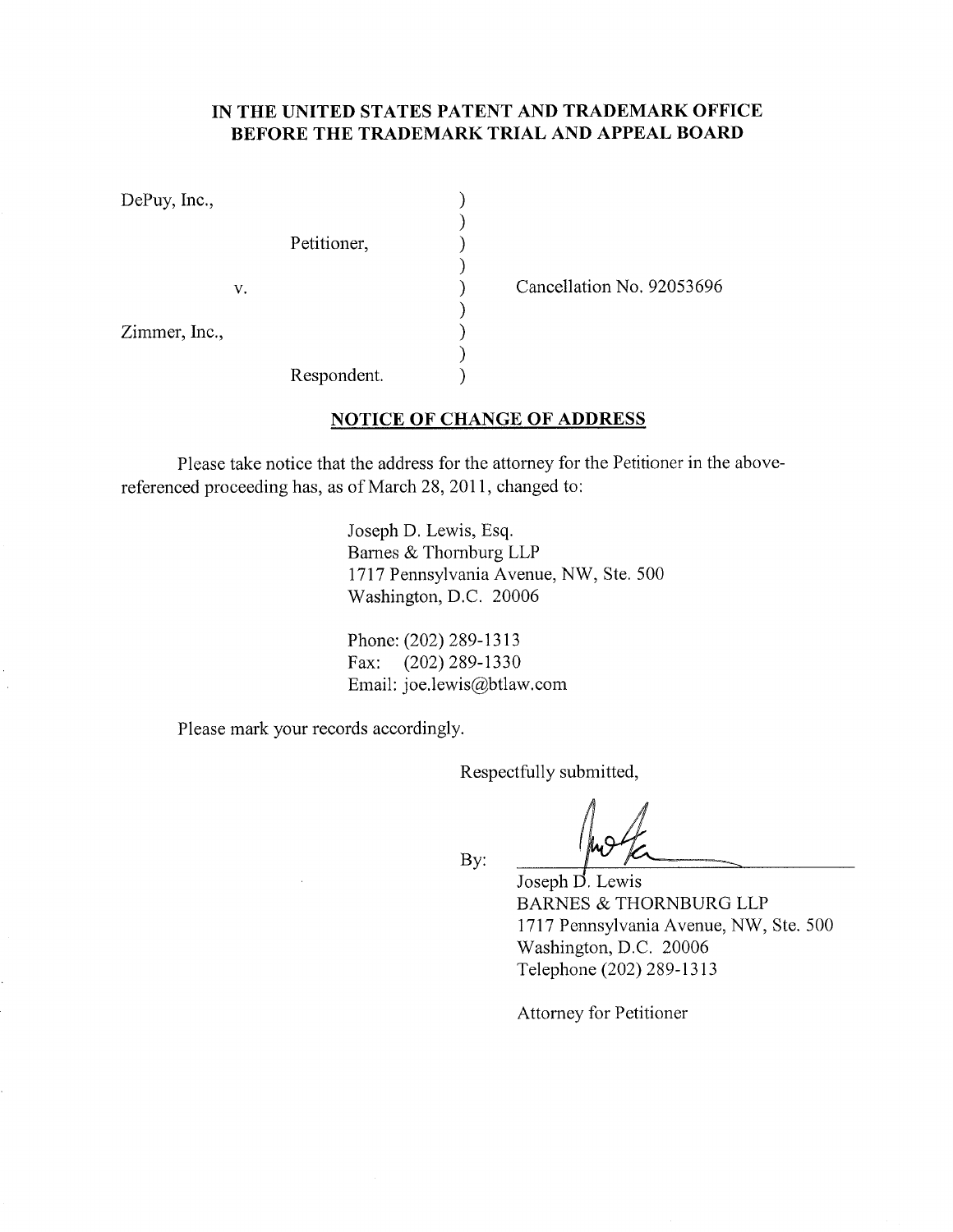## IN THE UNITED STATES PATENT AND TRADEMARK OFFICE BEFORE THE TRADEMARK TRIAL AND APPEAL BOARI)

 $\mathcal{E}$  $\lambda$  $\mathcal{E}$  $\mathcal{E}$  $\lambda$ 

)  $\lambda$ 

 $\lambda$ 

DePuy, Inc.,

Petitioner,

 $V_{\star}$ 

Zimmer, Inc.,

Cancellation No. 92053696

Respondent.

## NOTICE OF CHANGE OF ADDRESS

Please take notice that the address for the attomey for the Petitioner in the abovereferenced proceeding has, as of March 28,2011, changed to:

> Joseph D, Lewis, Esq. Barnes & Thornburg LLP 1717 Pennsylvania Avenue, NW, Ste, 500 Washington, D.C. 20006

Phone: (202) 289-1313 Fax: (202) 289-1330 Email: joe.lewis@btlaw.com

Please mark your records accordingly.

Respectfully submitted,

By:

Joseph D. Lewis BARNES & THORNBURG LLP 1717 Pennsylvania Avenue, NW, Ste. 500 Washington, D.C. 20006 Telephone (202) 289-1313

Attorney for Petitioner